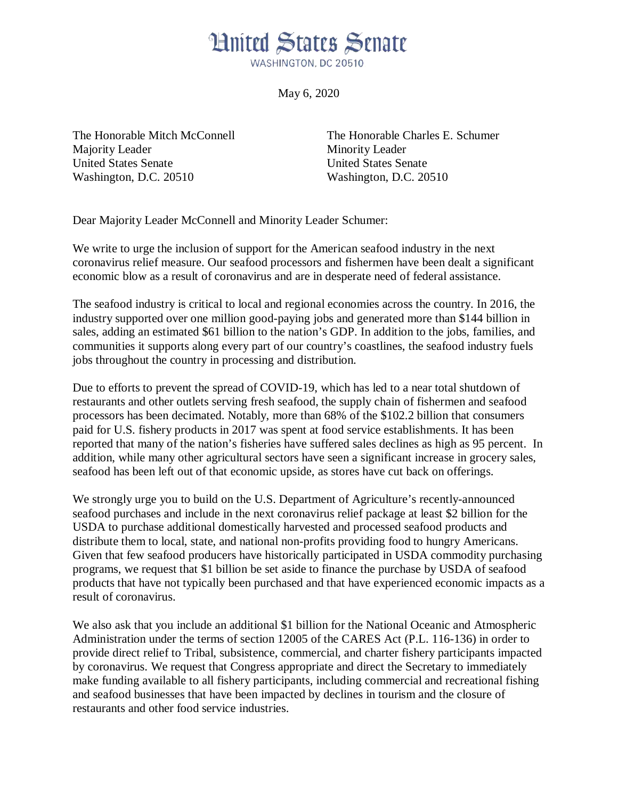## **Hnited States Senate** WASHINGTON, DC 20510

May 6, 2020

Majority Leader Minority Leader United States Senate United States Senate Washington, D.C. 20510 Washington, D.C. 20510

The Honorable Mitch McConnell The Honorable Charles E. Schumer

Dear Majority Leader McConnell and Minority Leader Schumer:

We write to urge the inclusion of support for the American seafood industry in the next coronavirus relief measure. Our seafood processors and fishermen have been dealt a significant economic blow as a result of coronavirus and are in desperate need of federal assistance.

The seafood industry is critical to local and regional economies across the country. In 2016, the industry supported over one million good-paying jobs and generated more than \$144 billion in sales, adding an estimated \$61 billion to the nation's GDP. In addition to the jobs, families, and communities it supports along every part of our country's coastlines, the seafood industry fuels jobs throughout the country in processing and distribution.

Due to efforts to prevent the spread of COVID-19, which has led to a near total shutdown of restaurants and other outlets serving fresh seafood, the supply chain of fishermen and seafood processors has been decimated. Notably, more than 68% of the \$102.2 billion that consumers paid for U.S. fishery products in 2017 was spent at food service establishments. It has been reported that many of the nation's fisheries have suffered sales declines as high as 95 percent. In addition, while many other agricultural sectors have seen a significant increase in grocery sales, seafood has been left out of that economic upside, as stores have cut back on offerings.

We strongly urge you to build on the U.S. Department of Agriculture's recently-announced seafood purchases and include in the next coronavirus relief package at least \$2 billion for the USDA to purchase additional domestically harvested and processed seafood products and distribute them to local, state, and national non-profits providing food to hungry Americans. Given that few seafood producers have historically participated in USDA commodity purchasing programs, we request that \$1 billion be set aside to finance the purchase by USDA of seafood products that have not typically been purchased and that have experienced economic impacts as a result of coronavirus.

We also ask that you include an additional \$1 billion for the National Oceanic and Atmospheric Administration under the terms of section 12005 of the CARES Act (P.L. 116-136) in order to provide direct relief to Tribal, subsistence, commercial, and charter fishery participants impacted by coronavirus. We request that Congress appropriate and direct the Secretary to immediately make funding available to all fishery participants, including commercial and recreational fishing and seafood businesses that have been impacted by declines in tourism and the closure of restaurants and other food service industries.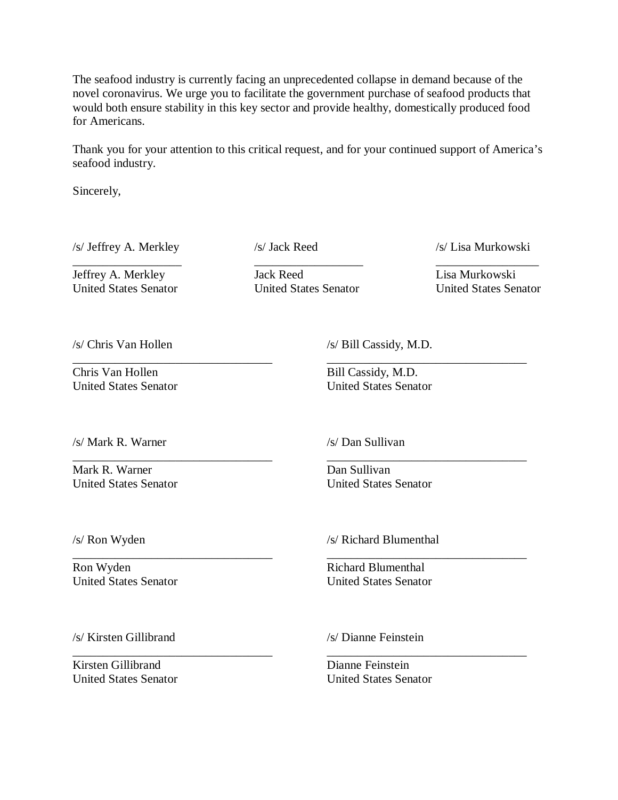The seafood industry is currently facing an unprecedented collapse in demand because of the novel coronavirus. We urge you to facilitate the government purchase of seafood products that would both ensure stability in this key sector and provide healthy, domestically produced food for Americans.

Thank you for your attention to this critical request, and for your continued support of America's seafood industry.

Sincerely,

/s/ Jeffrey A. Merkley /s/ Jack Reed /s/ Lisa Murkowski

Jeffrey A. Merkley Jack Reed Lisa Murkowski United States Senator United States Senator United States Senator

\_\_\_\_\_\_\_\_\_\_\_\_\_\_\_\_\_\_\_\_\_\_\_\_\_\_\_\_\_\_\_\_\_ \_\_\_\_\_\_\_\_\_\_\_\_\_\_\_\_\_\_\_\_\_\_\_\_\_\_\_\_\_\_\_\_\_

\_\_\_\_\_\_\_\_\_\_\_\_\_\_\_\_\_\_\_\_\_\_\_\_\_\_\_\_\_\_\_\_\_ \_\_\_\_\_\_\_\_\_\_\_\_\_\_\_\_\_\_\_\_\_\_\_\_\_\_\_\_\_\_\_\_\_

\_\_\_\_\_\_\_\_\_\_\_\_\_\_\_\_\_\_\_\_\_\_\_\_\_\_\_\_\_\_\_\_\_ \_\_\_\_\_\_\_\_\_\_\_\_\_\_\_\_\_\_\_\_\_\_\_\_\_\_\_\_\_\_\_\_\_

\_\_\_\_\_\_\_\_\_\_\_\_\_\_\_\_\_\_\_\_\_\_\_\_\_\_\_\_\_\_\_\_\_ \_\_\_\_\_\_\_\_\_\_\_\_\_\_\_\_\_\_\_\_\_\_\_\_\_\_\_\_\_\_\_\_\_

\_\_\_\_\_\_\_\_\_\_\_\_\_\_\_\_\_\_ \_\_\_\_\_\_\_\_\_\_\_\_\_\_\_\_\_\_ \_\_\_\_\_\_\_\_\_\_\_\_\_\_\_\_\_

Chris Van Hollen Bill Cassidy, M.D. United States Senator United States Senator

/s/ Chris Van Hollen /s/ Bill Cassidy, M.D.

/s/ Mark R. Warner /s/ Dan Sullivan

Mark R. Warner Dan Sullivan

United States Senator United States Senator

Ron Wyden Richard Blumenthal United States Senator United States Senator

/s/ Ron Wyden /s/ Richard Blumenthal

/s/ Kirsten Gillibrand /s/ Dianne Feinstein

Kirsten Gillibrand Dianne Feinstein United States Senator United States Senator